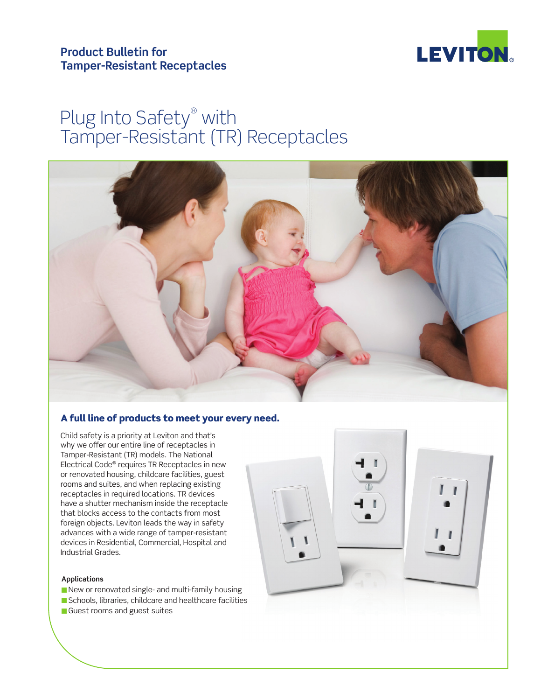



# Plug Into Safety® with Tamper-Resistant (TR) Receptacles



# A full line of products to meet your every need.

Child safety is a priority at Leviton and that's why we offer our entire line of receptacles in Tamper-Resistant (TR) models. The National Electrical Code® requires TR Receptacles in new or renovated housing, childcare facilities, guest rooms and suites, and when replacing existing receptacles in required locations. TR devices have a shutter mechanism inside the receptacle that blocks access to the contacts from most foreign objects. Leviton leads the way in safety advances with a wide range of tamper-resistant devices in Residential, Commercial, Hospital and Industrial Grades.

### **Applications**

New or renovated single- and multi-family housing Schools, libraries, childcare and healthcare facilities Guest rooms and guest suites

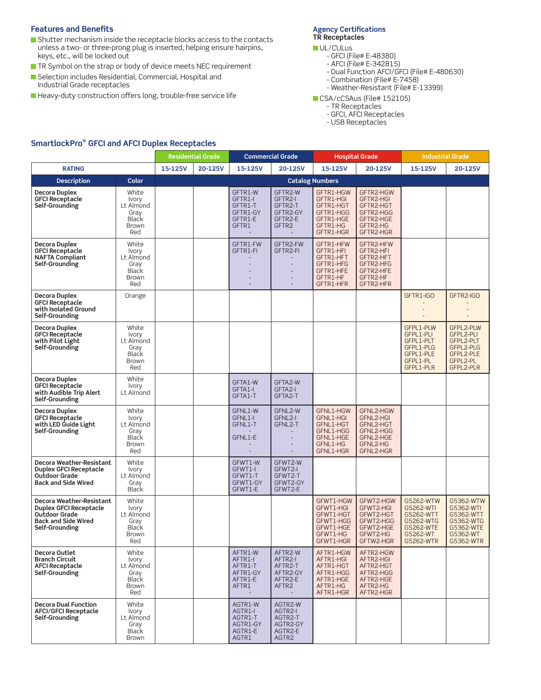### **Features and Benefits**

- Shutter mechanism inside the receptacle blocks access to the contacts unless a two- or three-prong plug is inserted, helping ensure hairpins, keys, etc., will be locked out
- TR Symbol on the strap or body of device meets NEC requirement
- Selection includes Residential, Commercial, Hospital and Industrial Grade receptacles
- Heavy-duty construction offers long, trouble-free service life

### **Agency Certifications TR Receptacles**

- UL/CULus - GFCI (File# E-48380)
	- AFCI (File# E-342815)
	- Dual Function AFCI/GFCI (File# E-480630)
	- Combination (File# E-7458)
	- Weather-Resistant (File# E-13399)
- CSA/cCSAus (File# 152105)
	- TR Receptacles
	- GFCI, AFCI Receptacles
	- USB Receptacles

# **SmartlockPro® GFCI and AFCI Duplex Receptacles**

|                                                                                                                            |                                                                            |         | <b>Residential Grade</b> |                                                               | <b>Commercial Grade</b>                                                   |                                                                                        | <b>Hospital Grade</b>                                                                  |                                                                                        | <b>Industrial Grade</b>                                                                |  |
|----------------------------------------------------------------------------------------------------------------------------|----------------------------------------------------------------------------|---------|--------------------------|---------------------------------------------------------------|---------------------------------------------------------------------------|----------------------------------------------------------------------------------------|----------------------------------------------------------------------------------------|----------------------------------------------------------------------------------------|----------------------------------------------------------------------------------------|--|
| <b>RATING</b>                                                                                                              |                                                                            | 15-125V | 20-125V                  | 15-125V                                                       | 20-125V                                                                   | 15-125V                                                                                | 20-125V                                                                                | 15-125V                                                                                | 20-125V                                                                                |  |
| <b>Description</b>                                                                                                         | Color                                                                      |         |                          |                                                               |                                                                           | <b>Catalog Numbers</b>                                                                 |                                                                                        |                                                                                        |                                                                                        |  |
| Decora Duplex<br><b>GFCI Receptacle</b><br>Self-Grounding                                                                  | White<br>Ivory<br>Lt Almond<br>Gray<br><b>Black</b><br>Brown<br>Red        |         |                          | GFTR1-W<br>GFTR1-I<br>GFTR1-T<br>GFTR1-GY<br>GFTR1-E<br>GFTR1 | GFTR2-W<br>GFTR2-I<br>GFTR2-T<br>GFTR2-GY<br>GFTR2-E<br>GFTR2             | GFTR1-HGW<br>GFTR1-HGI<br>GFTR1-HGT<br>GFTR1-HGG<br>GFTR1-HGE<br>GFTR1-HG<br>GFTR1-HGR | GFTR2-HGW<br>GFTR2-HGI<br>GFTR2-HGT<br>GFTR2-HGG<br>GFTR2-HGE<br>GFTR2-HG<br>GFTR2-HGR |                                                                                        |                                                                                        |  |
| Decora Duplex<br><b>GFCI Receptacle</b><br><b>NAFTA Compliant</b><br>Self-Grounding                                        | White<br>Ivory<br>Lt Almond<br>Gray<br><b>Black</b><br>Brown<br>Red        |         |                          | GFTR1-FW<br>GFTR1-FI                                          | GFTR2-FW<br>GFTR2-FI                                                      | GFTR1-HFW<br>GFTR1-HFI<br>GFTR1-HFT<br>GFTR1-HFG<br>GFTR1-HFE<br>GFTR1-HF<br>GFTR1-HFR | GFTR2-HFW<br>GFTR2-HFI<br>GFTR2-HFT<br>GFTR2-HFG<br>GFTR2-HFE<br>GFTR2-HF<br>GFTR2-HFR |                                                                                        |                                                                                        |  |
| Decora Duplex<br><b>GFCI Receptacle</b><br>with Isolated Ground<br>Self-Grounding                                          | Orange                                                                     |         |                          |                                                               |                                                                           |                                                                                        |                                                                                        | GFTR1-IGO                                                                              | GFTR2-IGO                                                                              |  |
| Decora Duplex<br><b>GFCI Receptacle</b><br>with Pilot Light<br>Self-Grounding                                              | White<br>Ivory<br>Lt Almond<br>Gray<br><b>Black</b><br>Brown<br>Red        |         |                          |                                                               |                                                                           |                                                                                        |                                                                                        | GFPL1-PLW<br>GFPL1-PLI<br>GFPL1-PLT<br>GFPL1-PLG<br>GFPL1-PLE<br>GFPL1-PL<br>GFPL1-PLR | GFPL2-PLW<br>GFPL2-PLI<br>GFPL2-PLT<br>GFPL2-PLG<br>GFPL2-PLE<br>GFPL2-PL<br>GFPL2-PLR |  |
| Decora Duplex<br><b>GFCI Receptacle</b><br>with Audible Trip Alert<br>Self-Grounding                                       | White<br>Ivory<br>Lt Almond                                                |         |                          | GFTA1-W<br>GFTA1-I<br>GFTA1-T                                 | GFTA2-W<br>GFTA2-I<br>GFTA2-T                                             |                                                                                        |                                                                                        |                                                                                        |                                                                                        |  |
| Decora Duplex<br><b>GFCI Receptacle</b><br>with LED Guide Light<br>Self-Grounding                                          | White<br>Ivory<br>Lt Almond<br>Gray<br><b>Black</b><br><b>Brown</b><br>Red |         |                          | GFNL1-W<br>GFNL1-I<br>GFNL1-T<br>GFNL1-E                      | GFNL2-W<br>GFNL2-I<br>GFNL2-T                                             | GFNL1-HGW<br>GFNL1-HGI<br>GFNL1-HGT<br>GFNL1-HGG<br>GFNL1-HGE<br>GFNL1-HG<br>GFNL1-HGR | GFNL2-HGW<br>GFNL2-HGI<br>GFNL2-HGT<br>GFNL2-HGG<br>GFNL2-HGE<br>GFNL2-HG<br>GFNL2-HGR |                                                                                        |                                                                                        |  |
| Decora Weather-Resistant<br><b>Duplex GFCI Receptacle</b><br>Outdoor Grade<br><b>Back and Side Wired</b>                   | White<br>Ivory<br>Lt Almond<br>Gray<br><b>Black</b>                        |         |                          | GFWT1-W<br>GFWT1-I<br>GFWT1-T<br>GFWT1-GY<br>GFWT1-E          | GFWT2-W<br>GFWT2-I<br>GFWT2-T<br>GFWT2-GY<br>GFWT2-E                      |                                                                                        |                                                                                        |                                                                                        |                                                                                        |  |
| Decora Weather-Resistant<br><b>Duplex GFCI Receptacle</b><br>Outdoor Grade<br><b>Back and Side Wired</b><br>Self-Grounding | White<br>Ivory<br>Lt Almond<br>Gray<br><b>Black</b><br><b>Brown</b><br>Red |         |                          |                                                               |                                                                           | GFWT1-HGW<br>GFWT1-HGI<br>GFWT1-HGT<br>GFWT1-HGG<br>GFWT1-HGE<br>GFWT1-HG<br>GFWT1-HGR | GFWT2-HGW<br>GFWT2-HGI<br>GFWT2-HGT<br>GFWT2-HGG<br>GFWT2-HGE<br>GFWT2-HG<br>GFTW2-HGR | G5262-WTW<br>G5262-WTI<br>G5262-WTT<br>G5262-WTG<br>G5262-WTE<br>G5262-WT<br>G5262-WTR | G5362-WTW<br>G5362-WTI<br>G5362-WTT<br>G5362-WTG<br>G5362-WTE<br>G5362-WT<br>G5362-WTR |  |
| Decora Outlet<br><b>Branch Circuit</b><br><b>AFCI Receptacle</b><br>Self-Grounding                                         | White<br>Ivory<br>Lt Almond<br>Gray<br><b>Black</b><br><b>Brown</b><br>Red |         |                          | AFTR1-W<br>AFTR1-I<br>AFTR1-T<br>AFTR1-GY<br>AFTR1-E<br>AFTR1 | AFTR2-W<br>AFTR2-I<br>AFTR2-T<br>AFTR2-GY<br>AFTR2-E<br>AFTR <sub>2</sub> | AFTR1-HGW<br>AFTR1-HGI<br>AFTR1-HGT<br>AFTR1-HGG<br>AFTR1-HGE<br>AFTR1-HG<br>AFTR1-HGR | AFTR2-HGW<br>AFTR2-HGI<br>AFTR2-HGT<br>AFTR2-HGG<br>AFTR2-HGE<br>AFTR2-HG<br>AFTR2-HGR |                                                                                        |                                                                                        |  |
| <b>Decora Dual Function</b><br><b>AFCI/GFCI Receptacle</b><br>Self-Grounding                                               | White<br>Ivory<br>Lt Almond<br>Gray<br><b>Black</b><br><b>Brown</b>        |         |                          | AGTR1-W<br>AGTR1-I<br>AGTR1-T<br>AGTR1-GY<br>AGTR1-E<br>AGTR1 | AGTR2-W<br>AGTR2-I<br>AGTR2-T<br>AGTR2-GY<br>AGTR2-E<br>AGTR <sub>2</sub> |                                                                                        |                                                                                        |                                                                                        |                                                                                        |  |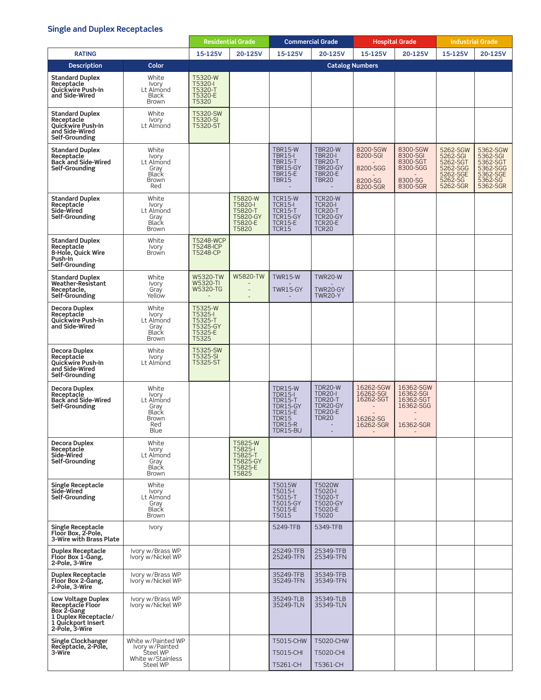## **Single and Duplex Receptacles**

|                                                                                                                      |                                                                                    | <b>Residential Grade</b>                                      |                                                               | <b>Commercial Grade</b>                                                                                          |                                                                                                | <b>Hospital Grade</b>                                        |                                                                     | <b>Industrial Grade</b>                                                         |                                                                                 |
|----------------------------------------------------------------------------------------------------------------------|------------------------------------------------------------------------------------|---------------------------------------------------------------|---------------------------------------------------------------|------------------------------------------------------------------------------------------------------------------|------------------------------------------------------------------------------------------------|--------------------------------------------------------------|---------------------------------------------------------------------|---------------------------------------------------------------------------------|---------------------------------------------------------------------------------|
| <b>RATING</b>                                                                                                        |                                                                                    | 15-125V                                                       | 20-125V                                                       | 15-125V                                                                                                          | 20-125V                                                                                        | 15-125V                                                      | 20-125V                                                             | 15-125V                                                                         | 20-125V                                                                         |
| <b>Description</b>                                                                                                   | Color                                                                              |                                                               |                                                               |                                                                                                                  | <b>Catalog Numbers</b>                                                                         |                                                              |                                                                     |                                                                                 |                                                                                 |
| <b>Standard Duplex</b><br>Receptacle<br><b>Ouickwire Push-In</b><br>and Side-Wired                                   | White<br>Ivory<br>Lt Almond<br>Black<br><b>Brown</b>                               | T5320-W<br>T5320-I<br>T5320-T<br>T5320-E<br>T5320             |                                                               |                                                                                                                  |                                                                                                |                                                              |                                                                     |                                                                                 |                                                                                 |
| <b>Standard Duplex</b><br>Receptacle<br><b>Ouickwire Push-In</b><br>and Side-Wired<br>Self-Grounding                 | White<br><b>Ivory</b><br>Lt Almond                                                 | T5320-SW<br>T5320-SI<br>T5320-ST                              |                                                               |                                                                                                                  |                                                                                                |                                                              |                                                                     |                                                                                 |                                                                                 |
| <b>Standard Duplex</b><br>Receptacle<br><b>Back and Side-Wired</b><br>Self-Grounding                                 | White<br>Ivory<br>Lt Almond<br>Gray<br>Black<br>Brown<br>Red                       |                                                               |                                                               | <b>TBR15-W</b><br><b>TBR15-I</b><br><b>TBR15-T</b><br>TBR15-GY<br><b>TBR15-E</b><br><b>TBR15</b>                 | TBR20-W<br>TBR20-I<br><b>TBR20-T</b><br>TBR20-GY<br><b>TBR20-E</b><br><b>TBR20</b>             | 8200-SGW<br>8200-SGI<br>8200-SGG<br>8200-SG<br>8200-SGR      | 8300-SGW<br>8300-SGI<br>8300-SGT<br>8300-SGG<br>8300-SG<br>8300-SGR | 5262-SGW<br>5262-SGI<br>5262-SGT<br>5262-SGG<br>5262-SGE<br>5262-SG<br>5262-SGR | 5362-SGW<br>5362-SGI<br>5362-SGT<br>5362-SGG<br>5362-SGE<br>5362-SG<br>5362-SGR |
| <b>Standard Duplex</b><br>Receptacle<br>Side-Wired<br>Self-Grounding                                                 | White<br><b>Ivory</b><br>Lt Almond<br>Gray<br>Black<br><b>Brown</b>                |                                                               | T5820-W<br>T5820-I<br>T5820-T<br>T5820-GY<br>T5820-E<br>T5820 | <b>TCR15-W</b><br>TCR <sub>15</sub> -I<br><b>TCR15-T</b><br>TCR15-GY<br><b>TCR15-E</b><br><b>TCR15</b>           | TCR20-W<br><b>TCR20-I</b><br><b>TCR20-T</b><br>TCR20-GY<br>TCR20-E<br><b>TCR20</b>             |                                                              |                                                                     |                                                                                 |                                                                                 |
| <b>Standard Duplex</b><br>Receptacle<br>8-Hole, Quick Wire<br>Push-In<br>Self-Grounding                              | White<br><b>Ivory</b><br>Brown                                                     | <b>T5248-WCP</b><br><b>T5248-ICP</b><br>T5248-CP              |                                                               |                                                                                                                  |                                                                                                |                                                              |                                                                     |                                                                                 |                                                                                 |
| <b>Standard Duplex</b><br>Weather-Resistant<br>Receptacle,<br>Self-Grounding                                         | White<br>Ivory<br>Gray<br>Yellow                                                   | W5320-TW<br>W5320-TI<br>W5320-TG                              | <b>W5820-TW</b><br>$\overline{a}$                             | <b>TWR15-W</b><br>TWR15-GY                                                                                       | <b>TWR20-W</b><br>TWR20-GY<br><b>TWR20-Y</b>                                                   |                                                              |                                                                     |                                                                                 |                                                                                 |
| Decora Duplex<br>Receptacle<br>Quickwire Push-In<br>and Side-Wired                                                   | White<br><b>Ivory</b><br>Lt Almond<br>Gray<br>Black<br><b>Brown</b>                | T5325-W<br>T5325-I<br>T5325-T<br>T5325-GY<br>T5325-E<br>T5325 |                                                               |                                                                                                                  |                                                                                                |                                                              |                                                                     |                                                                                 |                                                                                 |
| Decora Duplex<br>Receptacle<br>Quickwire Push-In<br>and Side-Wired<br>Self-Grounding                                 | White<br><b>Ivory</b><br>Lt Almond                                                 | T5325-SW<br>T5325-SI<br>T5325-ST                              |                                                               |                                                                                                                  |                                                                                                |                                                              |                                                                     |                                                                                 |                                                                                 |
| Decora Duplex<br>Receptacle<br><b>Back and Side-Wired</b><br>Self-Grounding                                          | White<br><b>Ivory</b><br>Lt Almond<br>Gray<br>Black<br>Brown<br>Red<br>Blue        |                                                               |                                                               | <b>TDR15-W</b><br>TDR15-I<br><b>TDR15-T</b><br>TDR15-GY<br><b>TDR15-E</b><br>TDR15<br><b>TDR15-R</b><br>TDR15-BU | <b>TDR20-W</b><br><b>TDR20-L</b><br><b>TDR20-T</b><br>TDR20-GY<br>TDR20-E<br>TDR <sub>20</sub> | 16262-SGW<br>16262-SGI<br>16262-SGT<br>16262-SG<br>16262-SGR | 16362-SGW<br>16362-SGI<br>16362-SGT<br>16362-SGG<br>16362-SGR       |                                                                                 |                                                                                 |
| Decora Duplex<br>Receptacle<br>Side-Wired<br>Self-Grounding                                                          | White<br>Ivory<br>Lt Almond<br>Gray<br>Black<br><b>Brown</b>                       |                                                               | T5825-W<br>T5825-I<br>T5825-T<br>T5825-GY<br>T5825-E<br>T5825 |                                                                                                                  |                                                                                                |                                                              |                                                                     |                                                                                 |                                                                                 |
| <b>Single Receptacle</b><br>Side-Wired<br>Self-Grounding                                                             | White<br>Ivory<br>Lt Almond<br>Gray<br>Black<br>Brown                              |                                                               |                                                               | T5015W<br>T5015-I<br>T5015-T<br>T5015-GY<br>T5015-E<br>T5015                                                     | T5020W<br>T5020-I<br>T5020-T<br>T5020-GY<br>T5020-E<br>T5020                                   |                                                              |                                                                     |                                                                                 |                                                                                 |
| Single Receptacle<br>Floor Box, 2-Pole,<br>3-Wire with Brass Plate                                                   | <b>Ivory</b>                                                                       |                                                               |                                                               | 5249-TFB                                                                                                         | 5349-TFB                                                                                       |                                                              |                                                                     |                                                                                 |                                                                                 |
| <b>Duplex Receptacle</b><br>Floor Box 1-Gang,<br>2-Pole, 3-Wire                                                      | Ivory w/Brass WP<br>Ivory w/Nickel WP                                              |                                                               |                                                               | 25249-TFB<br>25249-TFN                                                                                           | 25349-TFB<br>25349-TFN                                                                         |                                                              |                                                                     |                                                                                 |                                                                                 |
| Duplex Receptacle<br>Floor Box 2-Gang,<br>2-Pole, 3-Wire                                                             | Ivory w/Brass WP<br>Ivory w/Nickel WP                                              |                                                               |                                                               | 35249-TFB<br>35249-TFN                                                                                           | 35349-TFB<br>35349-TFN                                                                         |                                                              |                                                                     |                                                                                 |                                                                                 |
| Low Voltage Duplex<br>Receptacle Floor<br>Box 2-Gang<br>1 Duplex Receptacle/<br>1 Quickport Insert<br>2-Pole, 3-Wire | Ivory w/Brass WP<br>Ivory w/Nickel WP                                              |                                                               |                                                               | 35249-TLB<br>35249-TLN                                                                                           | 35349-TLB<br>35349-TLN                                                                         |                                                              |                                                                     |                                                                                 |                                                                                 |
| Single Clockhanger<br>Receptacle, 2-Pole,<br>3-Wire                                                                  | White w/Painted WP<br>Ivory w/Painted<br>Steel WP<br>White w/Stainless<br>Steel WP |                                                               |                                                               | T5015-CHW<br>T5015-CHI<br>T5261-CH                                                                               | T5020-CHW<br>T5020-CHI<br>T5361-CH                                                             |                                                              |                                                                     |                                                                                 |                                                                                 |